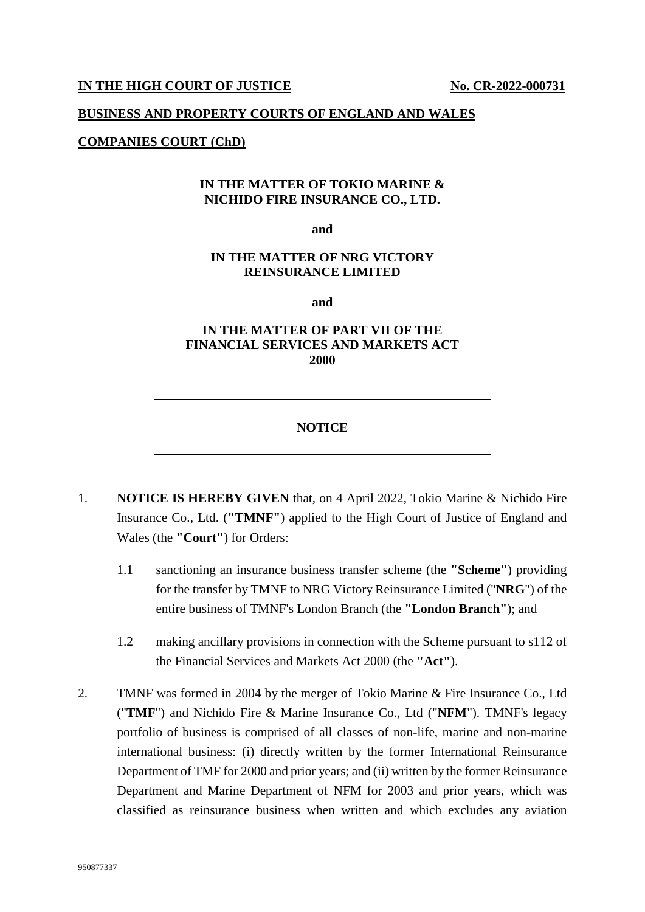#### **IN THE HIGH COURT OF JUSTICE No. CR-2022-000731**

#### **BUSINESS AND PROPERTY COURTS OF ENGLAND AND WALES**

#### **COMPANIES COURT (ChD)**

## **IN THE MATTER OF TOKIO MARINE & NICHIDO FIRE INSURANCE CO., LTD.**

**and** 

## **IN THE MATTER OF NRG VICTORY REINSURANCE LIMITED**

**and** 

# **IN THE MATTER OF PART VII OF THE FINANCIAL SERVICES AND MARKETS ACT 2000**

### **NOTICE**

- 1. **NOTICE IS HEREBY GIVEN** that, on 4 April 2022, Tokio Marine & Nichido Fire Insurance Co., Ltd. (**"TMNF"**) applied to the High Court of Justice of England and Wales (the **"Court"**) for Orders:
	- 1.1 sanctioning an insurance business transfer scheme (the **"Scheme"**) providing for the transfer by TMNF to NRG Victory Reinsurance Limited ("**NRG**") of the entire business of TMNF's London Branch (the **"London Branch"**); and
	- 1.2 making ancillary provisions in connection with the Scheme pursuant to s112 of the Financial Services and Markets Act 2000 (the **"Act"**).
- 2. TMNF was formed in 2004 by the merger of Tokio Marine & Fire Insurance Co., Ltd ("**TMF**") and Nichido Fire & Marine Insurance Co., Ltd ("**NFM**"). TMNF's legacy portfolio of business is comprised of all classes of non-life, marine and non-marine international business: (i) directly written by the former International Reinsurance Department of TMF for 2000 and prior years; and (ii) written by the former Reinsurance Department and Marine Department of NFM for 2003 and prior years, which was classified as reinsurance business when written and which excludes any aviation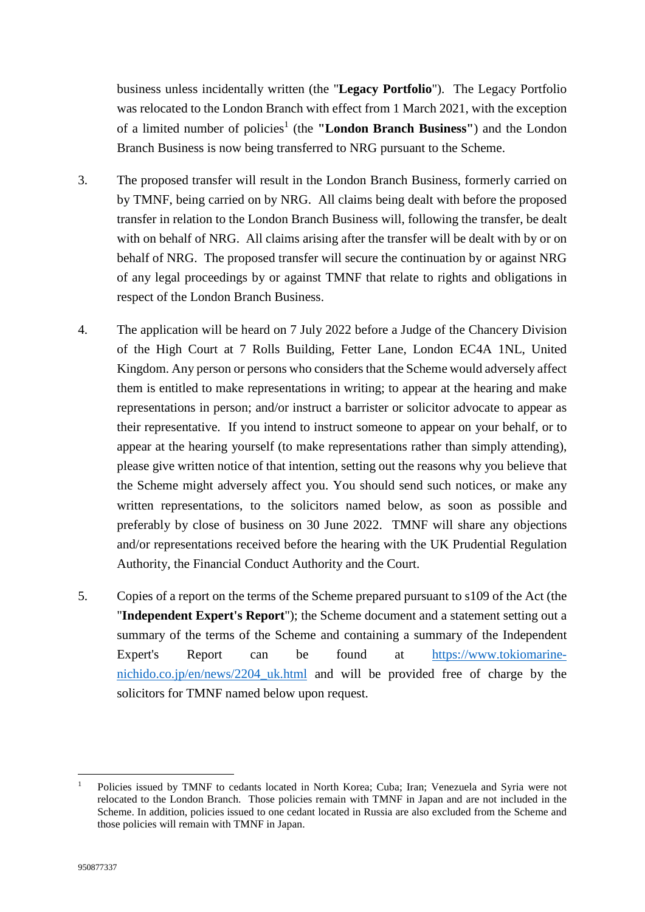business unless incidentally written (the "**Legacy Portfolio**"). The Legacy Portfolio was relocated to the London Branch with effect from 1 March 2021, with the exception of a limited number of policies<sup>[1](#page-1-0)</sup> (the "London Branch Business") and the London Branch Business is now being transferred to NRG pursuant to the Scheme.

- 3. The proposed transfer will result in the London Branch Business, formerly carried on by TMNF, being carried on by NRG. All claims being dealt with before the proposed transfer in relation to the London Branch Business will, following the transfer, be dealt with on behalf of NRG. All claims arising after the transfer will be dealt with by or on behalf of NRG. The proposed transfer will secure the continuation by or against NRG of any legal proceedings by or against TMNF that relate to rights and obligations in respect of the London Branch Business.
- 4. The application will be heard on 7 July 2022 before a Judge of the Chancery Division of the High Court at 7 Rolls Building, Fetter Lane, London EC4A 1NL, United Kingdom. Any person or persons who considers that the Scheme would adversely affect them is entitled to make representations in writing; to appear at the hearing and make representations in person; and/or instruct a barrister or solicitor advocate to appear as their representative. If you intend to instruct someone to appear on your behalf, or to appear at the hearing yourself (to make representations rather than simply attending), please give written notice of that intention, setting out the reasons why you believe that the Scheme might adversely affect you. You should send such notices, or make any written representations, to the solicitors named below, as soon as possible and preferably by close of business on 30 June 2022. TMNF will share any objections and/or representations received before the hearing with the UK Prudential Regulation Authority, the Financial Conduct Authority and the Court.
- 5. Copies of a report on the terms of the Scheme prepared pursuant to s109 of the Act (the "**Independent Expert's Report**"); the Scheme document and a statement setting out a summary of the terms of the Scheme and containing a summary of the Independent Expert's Report can be found at [https://www.tokiomarine](https://www.tokiomarine-nichido.co.jp/en/news/2204_uk.html)[nichido.co.jp/en/news/2204\\_uk.html and will be provided free of charge by the](https://www.tokiomarine-nichido.co.jp/en/news/2204_uk.html)  solicitors for TMNF named below upon request.

<span id="page-1-0"></span><sup>1</sup> Policies issued by TMNF to cedants located in North Korea; Cuba; Iran; Venezuela and Syria were not relocated to the London Branch. Those policies remain with TMNF in Japan and are not included in the Scheme. In addition, policies issued to one cedant located in Russia are also excluded from the Scheme and those policies will remain with TMNF in Japan.